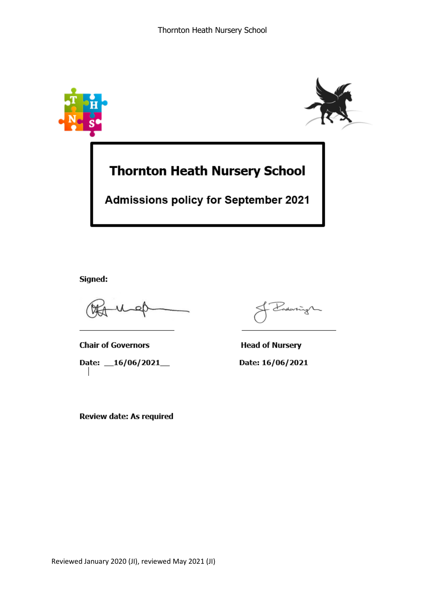

Signed:

**Chair of Governors** Date: 16/06/2021

Review date: As required

ny

**Head of Nursery** Date: 16/06/2021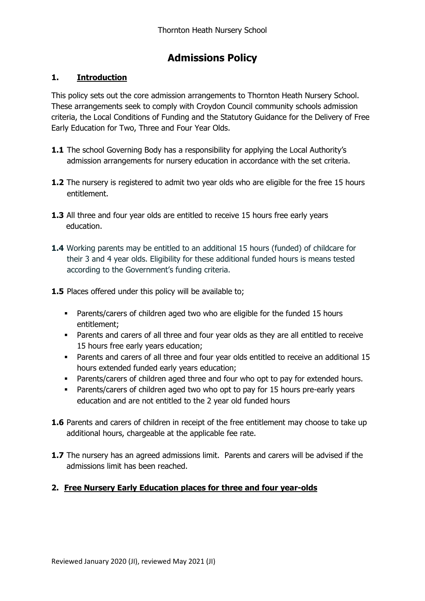# **Admissions Policy**

# **1. Introduction**

This policy sets out the core admission arrangements to Thornton Heath Nursery School. These arrangements seek to comply with Croydon Council community schools admission criteria, the Local Conditions of Funding and the Statutory Guidance for the Delivery of Free Early Education for Two, Three and Four Year Olds.

- **1.1** The school Governing Body has a responsibility for applying the Local Authority's admission arrangements for nursery education in accordance with the set criteria.
- **1.2** The nursery is registered to admit two year olds who are eligible for the free 15 hours entitlement.
- **1.3** All three and four year olds are entitled to receive 15 hours free early years education.
- **1.4** Working parents may be entitled to an additional 15 hours (funded) of childcare for their 3 and 4 year olds. Eligibility for these additional funded hours is means tested according to the Government's funding criteria.
- **1.5** Places offered under this policy will be available to;
	- Parents/carers of children aged two who are eligible for the funded 15 hours entitlement;
	- Parents and carers of all three and four year olds as they are all entitled to receive 15 hours free early years education;
	- Parents and carers of all three and four year olds entitled to receive an additional 15 hours extended funded early years education;
	- Parents/carers of children aged three and four who opt to pay for extended hours.
	- Parents/carers of children aged two who opt to pay for 15 hours pre-early years education and are not entitled to the 2 year old funded hours
- **1.6** Parents and carers of children in receipt of the free entitlement may choose to take up additional hours, chargeable at the applicable fee rate.
- **1.7** The nursery has an agreed admissions limit. Parents and carers will be advised if the admissions limit has been reached.

## **2. Free Nursery Early Education places for three and four year-olds**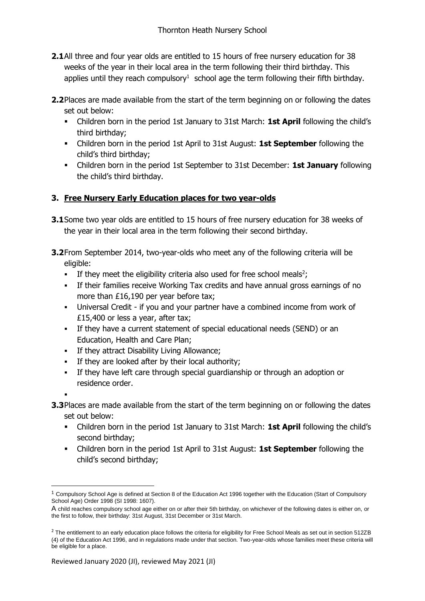- **2.1**All three and four year olds are entitled to 15 hours of free nursery education for 38 weeks of the year in their local area in the term following their third birthday. This applies until they reach compulsory<sup>1</sup> school age the term following their fifth birthday.
- **2.2**Places are made available from the start of the term beginning on or following the dates set out below:
	- Children born in the period 1st January to 31st March: **1st April** following the child's third birthday;
	- Children born in the period 1st April to 31st August: **1st September** following the child's third birthday;
	- Children born in the period 1st September to 31st December: **1st January** following the child's third birthday.

## **3. Free Nursery Early Education places for two year-olds**

- **3.1**Some two year olds are entitled to 15 hours of free nursery education for 38 weeks of the year in their local area in the term following their second birthday.
- **3.2**From September 2014, two-year-olds who meet any of the following criteria will be eligible:
	- If they meet the eligibility criteria also used for free school meals<sup>2</sup>;
	- If their families receive Working Tax credits and have annual gross earnings of no more than £16,190 per year before tax;
	- Universal Credit if you and your partner have a combined income from work of £15,400 or less a year, after tax;
	- If they have a current statement of special educational needs (SEND) or an Education, Health and Care Plan;
	- **If they attract Disability Living Allowance;**
	- If they are looked after by their local authority;
	- If they have left care through special guardianship or through an adoption or residence order.

.

**.** 

- **3.3**Places are made available from the start of the term beginning on or following the dates set out below:
	- Children born in the period 1st January to 31st March: **1st April** following the child's second birthday;
	- Children born in the period 1st April to 31st August: **1st September** following the child's second birthday;

 $1$  Compulsory School Age is defined at Section 8 of the Education Act 1996 together with the Education (Start of Compulsory School Age) Order 1998 (SI 1998: 1607).

A child reaches compulsory school age either on or after their 5th birthday, on whichever of the following dates is either on, or the first to follow, their birthday: 31st August, 31st December or 31st March.

 $2$  The entitlement to an early education place follows the criteria for eligibility for Free School Meals as set out in section 512ZB (4) of the Education Act 1996, and in regulations made under that section. Two-year-olds whose families meet these criteria will be eligible for a place.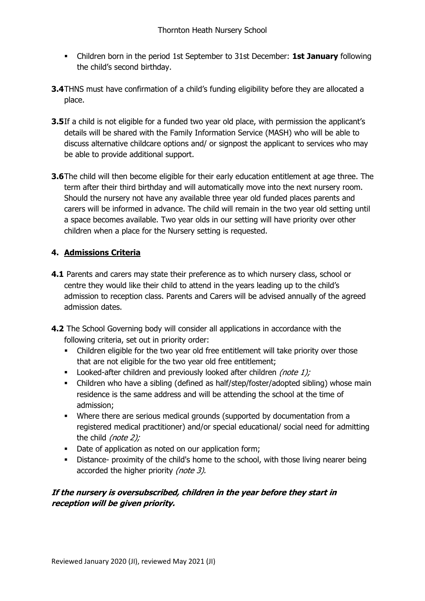- Children born in the period 1st September to 31st December: **1st January** following the child's second birthday.
- **3.4**THNS must have confirmation of a child's funding eligibility before they are allocated a place.
- **3.5**If a child is not eligible for a funded two year old place, with permission the applicant's details will be shared with the Family Information Service (MASH) who will be able to discuss alternative childcare options and/ or signpost the applicant to services who may be able to provide additional support.
- **3.6**The child will then become eligible for their early education entitlement at age three. The term after their third birthday and will automatically move into the next nursery room. Should the nursery not have any available three year old funded places parents and carers will be informed in advance. The child will remain in the two year old setting until a space becomes available. Two year olds in our setting will have priority over other children when a place for the Nursery setting is requested.

## **4. Admissions Criteria**

- **4.1** Parents and carers may state their preference as to which nursery class, school or centre they would like their child to attend in the years leading up to the child's admission to reception class. Parents and Carers will be advised annually of the agreed admission dates.
- **4.2** The School Governing body will consider all applications in accordance with the following criteria, set out in priority order:
	- Children eligible for the two year old free entitlement will take priority over those that are not eligible for the two year old free entitlement;
	- Looked-after children and previously looked after children *(note 1);*
	- Children who have a sibling (defined as half/step/foster/adopted sibling) whose main residence is the same address and will be attending the school at the time of admission;
	- Where there are serious medical grounds (supported by documentation from a registered medical practitioner) and/or special educational/ social need for admitting the child (note 2);
	- Date of application as noted on our application form;
	- Distance- proximity of the child's home to the school, with those living nearer being accorded the higher priority (note 3).

# **If the nursery is oversubscribed, children in the year before they start in reception will be given priority.**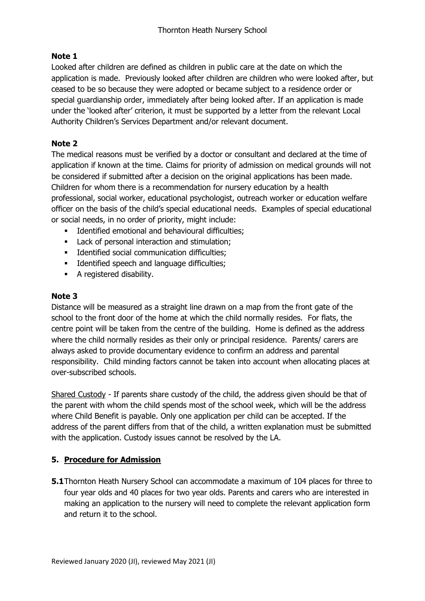# **Note 1**

Looked after children are defined as children in public care at the date on which the application is made. Previously looked after children are children who were looked after, but ceased to be so because they were adopted or became subject to a residence order or special guardianship order, immediately after being looked after. If an application is made under the 'looked after' criterion, it must be supported by a letter from the relevant Local Authority Children's Services Department and/or relevant document.

# **Note 2**

The medical reasons must be verified by a doctor or consultant and declared at the time of application if known at the time. Claims for priority of admission on medical grounds will not be considered if submitted after a decision on the original applications has been made. Children for whom there is a recommendation for nursery education by a health professional, social worker, educational psychologist, outreach worker or education welfare officer on the basis of the child's special educational needs. Examples of special educational or social needs, in no order of priority, might include:

- **Identified emotional and behavioural difficulties;**
- **Lack of personal interaction and stimulation;**
- **Identified social communication difficulties;**
- **IDENTIFIEL SPEECH AND LANGE DIFFICULTE:**
- A registered disability.

#### **Note 3**

Distance will be measured as a straight line drawn on a map from the front gate of the school to the front door of the home at which the child normally resides. For flats, the centre point will be taken from the centre of the building. Home is defined as the address where the child normally resides as their only or principal residence. Parents/ carers are always asked to provide documentary evidence to confirm an address and parental responsibility. Child minding factors cannot be taken into account when allocating places at over-subscribed schools.

Shared Custody - If parents share custody of the child, the address given should be that of the parent with whom the child spends most of the school week, which will be the address where Child Benefit is payable. Only one application per child can be accepted. If the address of the parent differs from that of the child, a written explanation must be submitted with the application. Custody issues cannot be resolved by the LA.

## **5. Procedure for Admission**

**5.1**Thornton Heath Nursery School can accommodate a maximum of 104 places for three to four year olds and 40 places for two year olds. Parents and carers who are interested in making an application to the nursery will need to complete the relevant application form and return it to the school.